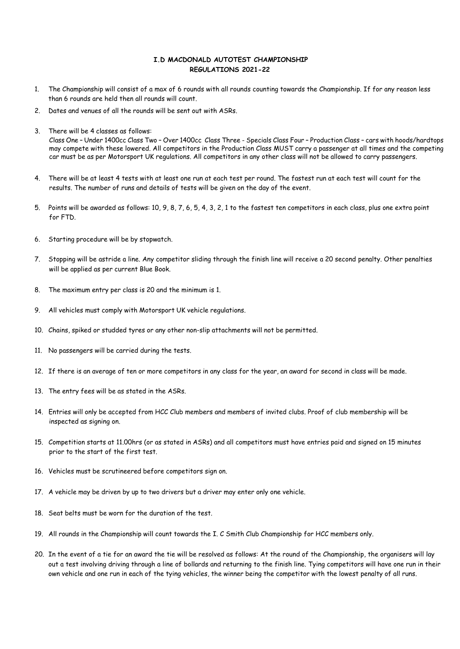## **I.D MACDONALD AUTOTEST CHAMPIONSHIP REGULATIONS 2021-22**

- 1. The Championship will consist of a max of 6 rounds with all rounds counting towards the Championship. If for any reason less than 6 rounds are held then all rounds will count.
- 2. Dates and venues of all the rounds will be sent out with ASRs.
- 3. There will be 4 classes as follows:

Class One – Under 1400cc Class Two – Over 1400cc Class Three - Specials Class Four – Production Class – cars with hoods/hardtops may compete with these lowered. All competitors in the Production Class MUST carry a passenger at all times and the competing car must be as per Motorsport UK regulations. All competitors in any other class will not be allowed to carry passengers.

- 4. There will be at least 4 tests with at least one run at each test per round. The fastest run at each test will count for the results. The number of runs and details of tests will be given on the day of the event.
- 5. Points will be awarded as follows: 10, 9, 8, 7, 6, 5, 4, 3, 2, 1 to the fastest ten competitors in each class, plus one extra point for FTD.
- 6. Starting procedure will be by stopwatch.
- 7. Stopping will be astride a line. Any competitor sliding through the finish line will receive a 20 second penalty. Other penalties will be applied as per current Blue Book.
- 8. The maximum entry per class is 20 and the minimum is 1.
- 9. All vehicles must comply with Motorsport UK vehicle regulations.
- 10. Chains, spiked or studded tyres or any other non-slip attachments will not be permitted.
- 11. No passengers will be carried during the tests.
- 12. If there is an average of ten or more competitors in any class for the year, an award for second in class will be made.
- 13. The entry fees will be as stated in the ASRs.
- 14. Entries will only be accepted from HCC Club members and members of invited clubs. Proof of club membership will be inspected as signing on.
- 15. Competition starts at 11.00hrs (or as stated in ASRs) and all competitors must have entries paid and signed on 15 minutes prior to the start of the first test.
- 16. Vehicles must be scrutineered before competitors sign on.
- 17. A vehicle may be driven by up to two drivers but a driver may enter only one vehicle.
- 18. Seat belts must be worn for the duration of the test.
- 19. All rounds in the Championship will count towards the I. C Smith Club Championship for HCC members only.
- 20. In the event of a tie for an award the tie will be resolved as follows: At the round of the Championship, the organisers will lay out a test involving driving through a line of bollards and returning to the finish line. Tying competitors will have one run in their own vehicle and one run in each of the tying vehicles, the winner being the competitor with the lowest penalty of all runs.